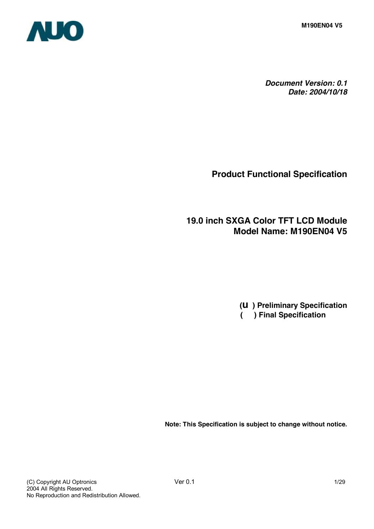**M190EN04 V5**



*Document Version: 0.1 Date: 2004/10/18*

**Product Functional Specification**

**19.0 inch SXGA Color TFT LCD Module Model Name: M190EN04 V5** 

> **(u ) Preliminary Specification ( ) Final Specification**

**Note: This Specification is subject to change without notice.**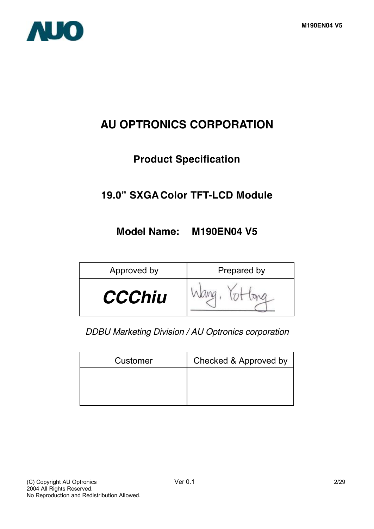

# **AU OPTRONICS CORPORATION**

# **Product Specification**

# **19.0" SXGA Color TFT-LCD Module**

# **Model Name: M190EN04 V5**

| Approved by   | Prepared by |
|---------------|-------------|
| <b>CCChiu</b> |             |

*DDBU Marketing Division / AU Optronics corporation*

| Customer | Checked & Approved by |
|----------|-----------------------|
|          |                       |
|          |                       |
|          |                       |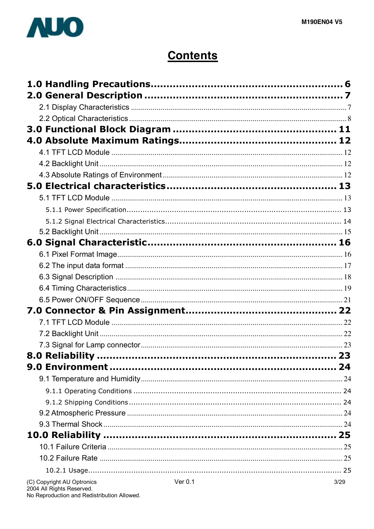

# **Contents**

| (C) Copyright AU Optronics | Ver 0.1 | 3/29 |
|----------------------------|---------|------|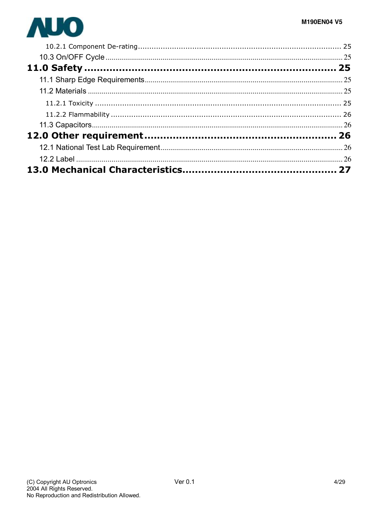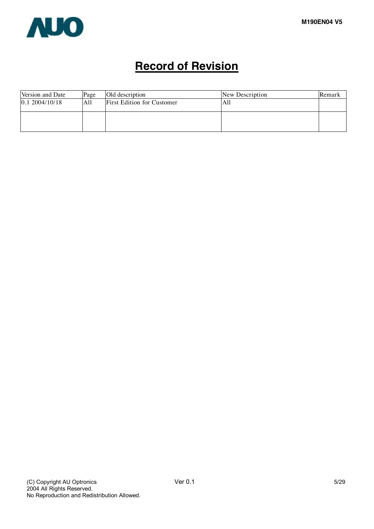

# **Record of Revision**

| Page | Old description                   | New Description | Remark |
|------|-----------------------------------|-----------------|--------|
| All  | <b>First Edition for Customer</b> | All             |        |
|      |                                   |                 |        |
|      |                                   |                 |        |
|      |                                   |                 |        |
|      |                                   |                 |        |
|      |                                   |                 |        |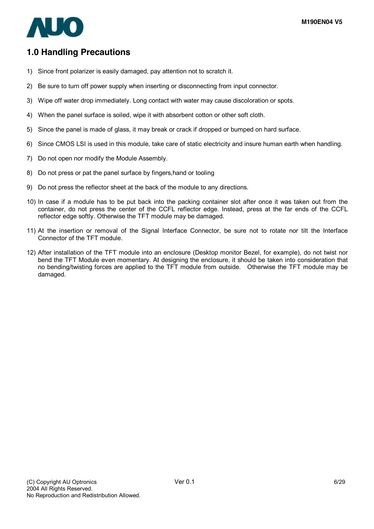

# **1.0 Handling Precautions**

- 1) Since front polarizer is easily damaged, pay attention not to scratch it.
- 2) Be sure to turn off power supply when inserting or disconnecting from input connector.
- 3) Wipe off water drop immediately. Long contact with water may cause discoloration or spots.
- 4) When the panel surface is soiled, wipe it with absorbent cotton or other soft cloth.
- 5) Since the panel is made of glass, it may break or crack if dropped or bumped on hard surface.
- 6) Since CMOS LSI is used in this module, take care of static electricity and insure human earth when handling.
- 7) Do not open nor modify the Module Assembly.
- 8) Do not press or pat the panel surface by fingers,hand or tooling
- 9) Do not press the reflector sheet at the back of the module to any directions.
- 10) In case if a module has to be put back into the packing container slot after once it was taken out from the container, do not press the center of the CCFL reflector edge. Instead, press at the far ends of the CCFL reflector edge softly. Otherwise the TFT module may be damaged.
- 11) At the insertion or removal of the Signal Interface Connector, be sure not to rotate nor tilt the Interface Connector of the TFT module.
- 12) After installation of the TFT module into an enclosure (Desktop monitor Bezel, for example), do not twist nor bend the TFT Module even momentary. At designing the enclosure, it should be taken into consideration that no bending/twisting forces are applied to the TFT module from outside. Otherwise the TFT module may be damaged.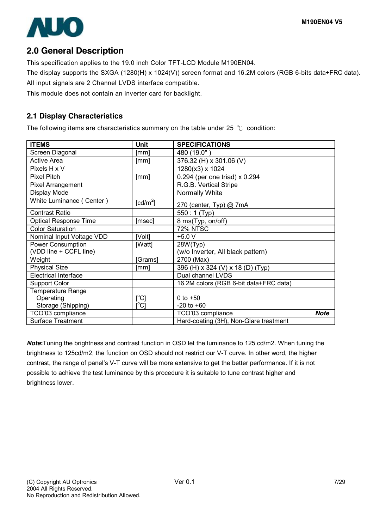

# **2.0 General Description**

This specification applies to the 19.0 inch Color TFT-LCD Module M190EN04.

The display supports the SXGA (1280(H) x 1024(V)) screen format and 16.2M colors (RGB 6-bits data+FRC data).

All input signals are 2 Channel LVDS interface compatible.

This module does not contain an inverter card for backlight.

# **2.1 Display Characteristics**

The following items are characteristics summary on the table under 25 ℃ condition:

| <b>ITEMS</b>                 | <b>Unit</b>                             | <b>SPECIFICATIONS</b>                  |             |
|------------------------------|-----------------------------------------|----------------------------------------|-------------|
| Screen Diagonal              | [mm]                                    | 480 (19.0"                             |             |
| <b>Active Area</b>           | [mm]                                    | 376.32 (H) x 301.06 (V)                |             |
| Pixels H x V                 |                                         | 1280(x3) x 1024                        |             |
| <b>Pixel Pitch</b>           | [mm]                                    | 0.294 (per one triad) x 0.294          |             |
| Pixel Arrangement            |                                         | R.G.B. Vertical Stripe                 |             |
| Display Mode                 |                                         | Normally White                         |             |
| White Luminance (Center)     | [cd/m <sup>2</sup> ]                    | 270 (center, Typ) @ 7mA                |             |
| <b>Contrast Ratio</b>        |                                         | 550: 1 (Typ)                           |             |
| <b>Optical Response Time</b> | [msec]                                  | 8 ms(Typ, on/off)                      |             |
| <b>Color Saturation</b>      |                                         | <b>72% NTSC</b>                        |             |
| Nominal Input Voltage VDD    | [Volt]                                  | $+5.0V$                                |             |
| Power Consumption            | [Watt]                                  | 28W(Typ)                               |             |
| (VDD line + CCFL line)       |                                         | (w/o Inverter, All black pattern)      |             |
| Weight                       | [Grams]                                 | 2700 (Max)                             |             |
| <b>Physical Size</b>         | [mm]                                    | 396 (H) x 324 (V) x 18 (D) (Typ)       |             |
| <b>Electrical Interface</b>  |                                         | Dual channel LVDS                      |             |
| <b>Support Color</b>         |                                         | 16.2M colors (RGB 6-bit data+FRC data) |             |
| <b>Temperature Range</b>     |                                         |                                        |             |
| Operating                    | $[^{\circ}C]$                           | 0 to $+50$                             |             |
| Storage (Shipping)           | $\mathsf{I}^\circ\mathsf{C} \mathsf{I}$ | $-20$ to $+60$                         |             |
| TCO'03 compliance            |                                         | TCO'03 compliance                      | <b>Note</b> |
| <b>Surface Treatment</b>     |                                         | Hard-coating (3H), Non-Glare treatment |             |

*Note***:**Tuning the brightness and contrast function in OSD let the luminance to 125 cd/m2. When tuning the brightness to 125cd/m2, the function on OSD should not restrict our V-T curve. In other word, the higher contrast, the range of panel's V-T curve will be more extensive to get the better performance. If it is not possible to achieve the test luminance by this procedure it is suitable to tune contrast higher and brightness lower.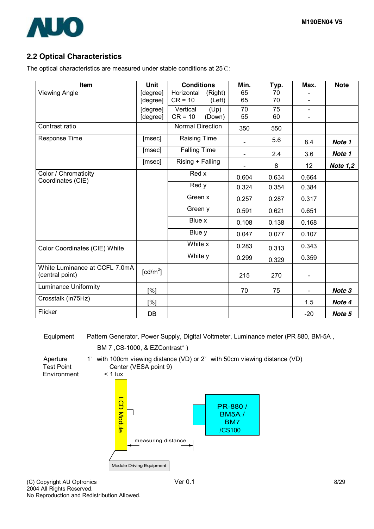

# **2.2 Optical Characteristics**

The optical characteristics are measured under stable conditions at 25℃:

| Item                                             | <b>Unit</b>                         | <b>Conditions</b>       | Min.           | Typ.  | Max.                     | <b>Note</b>     |
|--------------------------------------------------|-------------------------------------|-------------------------|----------------|-------|--------------------------|-----------------|
| <b>Viewing Angle</b>                             | [degree]                            | Horizontal<br>(Right)   | 65             | 70    |                          |                 |
|                                                  | [degree]                            | $CR = 10$<br>(Left)     | 65             | 70    | $\overline{\phantom{a}}$ |                 |
|                                                  | [degree]                            | Vertical<br>(Up)        | 70             | 75    | $\blacksquare$           |                 |
|                                                  | [degree]                            | $CR = 10$<br>(Down)     | 55             | 60    |                          |                 |
| Contrast ratio                                   |                                     | <b>Normal Direction</b> | 350            | 550   |                          |                 |
| Response Time                                    | [msec]                              | Raising Time            |                | 5.6   | 8.4                      | Note 1          |
|                                                  | [msec]                              | <b>Falling Time</b>     | $\blacksquare$ | 2.4   | 3.6                      | Note 1          |
|                                                  | [msec]                              | Rising + Falling        |                | 8     | 12                       | <b>Note 1,2</b> |
| Color / Chromaticity<br>Coordinates (CIE)        |                                     | Red x                   | 0.604          | 0.634 | 0.664                    |                 |
|                                                  |                                     | Red y                   | 0.324          | 0.354 | 0.384                    |                 |
|                                                  |                                     | Green x                 | 0.257          | 0.287 | 0.317                    |                 |
|                                                  |                                     | Green y                 | 0.591          | 0.621 | 0.651                    |                 |
|                                                  |                                     | Blue x                  | 0.108          | 0.138 | 0.168                    |                 |
|                                                  |                                     | Blue y                  | 0.047          | 0.077 | 0.107                    |                 |
| Color Coordinates (CIE) White                    |                                     | White x                 | 0.283          | 0.313 | 0.343                    |                 |
|                                                  |                                     | White y                 | 0.299          | 0.329 | 0.359                    |                 |
| White Luminance at CCFL 7.0mA<br>(central point) | $\lceil$ cd/m <sup>2</sup> $\rceil$ |                         | 215            | 270   | $\blacksquare$           |                 |
| <b>Luminance Uniformity</b>                      | [%]                                 |                         | 70             | 75    | $\blacksquare$           | Note 3          |
| Crosstalk (in75Hz)                               | [%]                                 |                         |                |       | 1.5                      | Note 4          |
| Flicker                                          | DB                                  |                         |                |       | $-20$                    | Note 5          |

Equipment Pattern Generator, Power Supply, Digital Voltmeter, Luminance meter (PR 880, BM-5A,

BM 7 ,CS-1000, & EZContrast\* ) Aperture 1° with 100cm viewing distance (VD) or 2° with 50cm viewing distance (VD) Test Point Center (VESA point 9)<br>Environment < 1 lux **Environment** L C D PR-880 /  $\cdot$ BM5A / M o dule BM7 /CS100 measuring distance Module Driving Equipment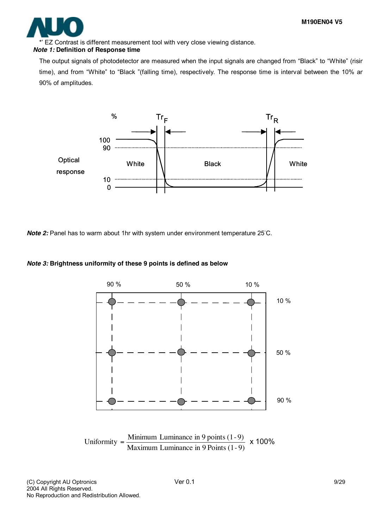

EZ Contrast is different measurement tool with very close viewing distance.

#### *Note 1:* **Definition of Response time**

The output signals of photodetector are measured when the input signals are changed from "Black" to "White" (risir time), and from "White" to "Black "(falling time), respectively. The response time is interval between the 10% ar 90% of amplitudes.



*Note 2:* Panel has to warm about 1hr with system under environment temperature 25°C.

#### *Note 3:* **Brightness uniformity of these 9 points is defined as below**



Maximum Luminance in 9 Points (1- 9) Uniformity =  $\frac{\text{Minimum Luminance in 9 points (1-9)}}{\text{M}} \times 100\%$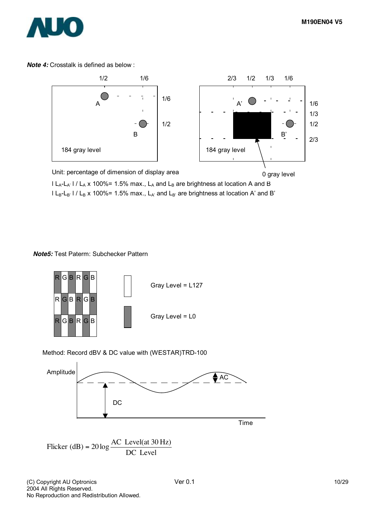

*Note 4:* Crosstalk is defined as below :



 $l L_A-L_{A'}$  l /  $L_A$  x 100%= 1.5% max.,  $L_A$  and  $L_B$  are brightness at location A and B  $l L_B-L_{B'}$  l /  $L_B$  x 100%= 1.5% max.,  $L_{A'}$  and  $L_{B'}$  are brightness at location A' and B'

#### *Note5:* Test Paterm: Subchecker Pattern



#### Method: Record dBV & DC value with (WESTAR)TRD-100



Flicker (dB) = 
$$
20 \log \frac{AC \text{ Level(at 30 Hz})}{DC \text{ Level}}
$$

(C) Copyright AU Optronics **Ver 0.1** 10/29 2004 All Rights Reserved. No Reproduction and Redistribution Allowed.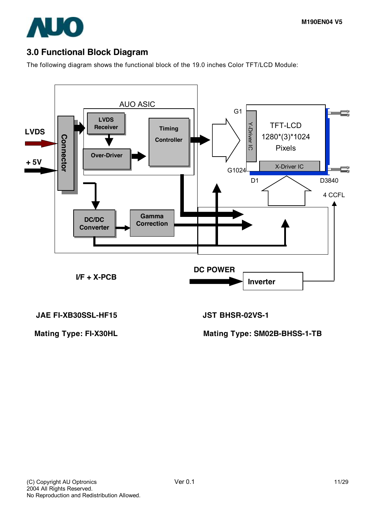

# **3.0 Functional Block Diagram**

The following diagram shows the functional block of the 19.0 inches Color TFT/LCD Module:



**JAE FI-XB30SSL-HF15 JST BHSR-02VS-1** 

**Mating Type: FI-X30HL Mating Type: SM02B-BHSS-1-TB**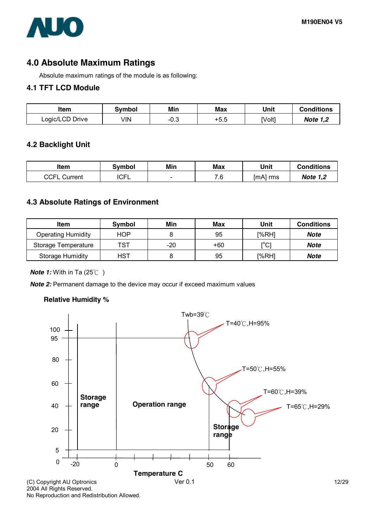

# **4.0 Absolute Maximum Ratings**

Absolute maximum ratings of the module is as following:

#### **4.1 TFT LCD Module**

| ltem            | Svmbol | Min  | Max    | Unit   | <b>Conditions</b> |
|-----------------|--------|------|--------|--------|-------------------|
| Logic/LCD Drive | √lN    | −∪.ບ | $+5.5$ | [Volt] | <b>Note 1,2</b>   |

#### **4.2 Backlight Unit**

| ltem            | Svmbol      | Min    | Max | Unit     | Conditions      |
|-----------------|-------------|--------|-----|----------|-----------------|
| CCFL<br>Current | <b>ICFL</b> | $\sim$ | 7.6 | [mA] rms | <b>Note 1,2</b> |

#### **4.3 Absolute Ratings of Environment**

| Item                      | <b>Symbol</b> | Min | Max   | Unit                                    | <b>Conditions</b> |
|---------------------------|---------------|-----|-------|-----------------------------------------|-------------------|
| <b>Operating Humidity</b> | <b>HOP</b>    |     | 95    | [%RH]                                   | <b>Note</b>       |
| Storage Temperature       | TST           | -20 | $+60$ | $\mathsf{I}^\circ\mathsf{C} \mathsf{I}$ | <b>Note</b>       |
| <b>Storage Humidity</b>   | <b>HST</b>    |     | 95    | [%RH]                                   | Note              |

*Note 1:* With in Ta (25℃ )

*Note 2:* Permanent damage to the device may occur if exceed maximum values

#### **Relative Humidity %**



No Reproduction and Redistribution Allowed.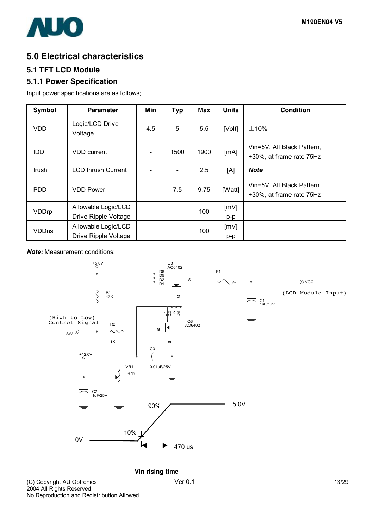

# **5.0 Electrical characteristics**

### **5.1 TFT LCD Module**

### **5.1.1 Power Specification**

Input power specifications are as follows;

| <b>Symbol</b> | <b>Parameter</b>                            | Min | <b>Typ</b>     | Max  | <b>Units</b> | <b>Condition</b>                                       |
|---------------|---------------------------------------------|-----|----------------|------|--------------|--------------------------------------------------------|
| VDD           | Logic/LCD Drive<br>Voltage                  | 4.5 | 5              | 5.5  | [Volt]       | $\pm$ 10%                                              |
| <b>IDD</b>    | <b>VDD</b> current                          |     | 1500           | 1900 | [mA]         | Vin=5V, All Black Pattern,<br>+30%, at frame rate 75Hz |
| Irush         | <b>LCD Inrush Current</b>                   |     | $\blacksquare$ | 2.5  | [A]          | <b>Note</b>                                            |
| <b>PDD</b>    | <b>VDD Power</b>                            |     | 7.5            | 9.75 | [Watt]       | Vin=5V, All Black Pattern<br>+30%, at frame rate 75Hz  |
| <b>VDDrp</b>  | Allowable Logic/LCD<br>Drive Ripple Voltage |     |                | 100  | [mV]<br>p-p  |                                                        |
| <b>VDDns</b>  | Allowable Logic/LCD<br>Drive Ripple Voltage |     |                | 100  | [mV]<br>p-p  |                                                        |

*Note:* Measurement conditions:



**Vin rising time**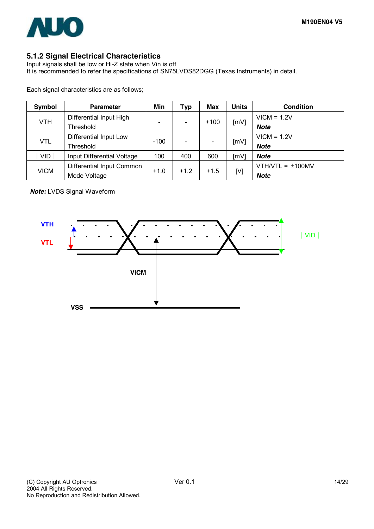

## **5.1.2 Signal Electrical Characteristics**

Input signals shall be low or Hi-Z state when Vin is off It is recommended to refer the specifications of SN75LVDS82DGG (Texas Instruments) in detail.

Each signal characteristics are as follows;

| Symbol      | <b>Parameter</b>           | Min    | Typ    | Max    | <b>Units</b> | <b>Condition</b>      |
|-------------|----------------------------|--------|--------|--------|--------------|-----------------------|
| <b>VTH</b>  | Differential Input High    |        |        |        |              | $VICM = 1.2V$         |
|             | Threshold                  |        |        | $+100$ | [mV]         | Note                  |
|             | Differential Input Low     | $-100$ |        |        |              | $VICM = 1.2V$         |
| <b>VTL</b>  | Threshold                  |        |        |        | [mV]         | <b>Note</b>           |
| <b>VID</b>  | Input Differential Voltage | 100    | 400    | 600    | [mV]         | Note                  |
|             | Differential Input Common  | $+1.0$ | $+1.2$ | $+1.5$ | [V]          | VTH/VTL = $\pm$ 100MV |
| <b>VICM</b> | Mode Voltage               |        |        |        |              | Note                  |

*Note:* LVDS Signal Waveform

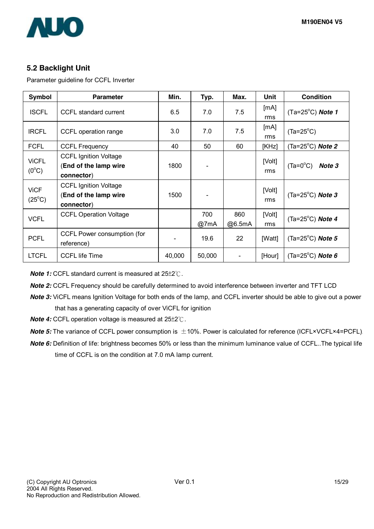

### **5.2 Backlight Unit**

Parameter guideline for CCFL Inverter

| Symbol                         | <b>Parameter</b>                                                    | Min.   | Typ.        | Max.          | Unit          | <b>Condition</b>                     |
|--------------------------------|---------------------------------------------------------------------|--------|-------------|---------------|---------------|--------------------------------------|
| <b>ISCFL</b>                   | CCFL standard current                                               | 6.5    | 7.0         | 7.5           | [mA]<br>rms   | $(Ta=25^{\circ}C)$ Note 1            |
| <b>IRCFL</b>                   | CCFL operation range                                                | 3.0    | 7.0         | 7.5           | [mA]<br>rms   | $(Ta=25^{\circ}C)$                   |
| <b>FCFL</b>                    | <b>CCFL Frequency</b>                                               | 40     | 50          | 60            | [KHz]         | (Ta=25 $^{\circ}$ C) <b>Note 2</b>   |
| <b>ViCFL</b><br>$(0^{\circ}C)$ | <b>CCFL Ignition Voltage</b><br>(End of the lamp wire<br>connector) | 1800   |             |               | [Volt]<br>rms | $(Ta=0^{\circ}C)$<br>Note 3          |
| <b>ViCF</b><br>$(25^{\circ}C)$ | <b>CCFL Ignition Voltage</b><br>(End of the lamp wire<br>connector) | 1500   |             |               | [Volt]<br>rms | (Ta=25 $^{\circ}$ C) Note 3          |
| <b>VCFL</b>                    | <b>CCFL Operation Voltage</b>                                       |        | 700<br>@7mA | 860<br>@6.5mA | [Volt]<br>rms | (Ta= $25^{\circ}$ C) Note 4          |
| <b>PCFL</b>                    | CCFL Power consumption (for<br>reference)                           |        | 19.6        | 22            | [Watt]        | (Ta=25 $^{\circ}$ C) Note 5          |
| <b>LTCFL</b>                   | <b>CCFL</b> life Time                                               | 40,000 | 50,000      |               | [Hour]        | (Ta=25 <sup>o</sup> C) <b>Note 6</b> |

*Note 1:* CCFL standard current is measured at 25±2℃.

*Note 2:* CCFL Frequency should be carefully determined to avoid interference between inverter and TFT LCD

*Note 3:* ViCFL means Ignition Voltage for both ends of the lamp, and CCFL inverter should be able to give out a power that has a generating capacity of over ViCFL for ignition

*Note 4:* CCFL operation voltage is measured at 25±2℃.

- *Note* 5: The variance of CCFL power consumption is  $\pm$ 10%. Power is calculated for reference (ICFL×VCFL×4=PCFL).
- *Note 6:* Definition of life: brightness becomes 50% or less than the minimum luminance value of CCFL..The typical life time of CCFL is on the condition at 7.0 mA lamp current.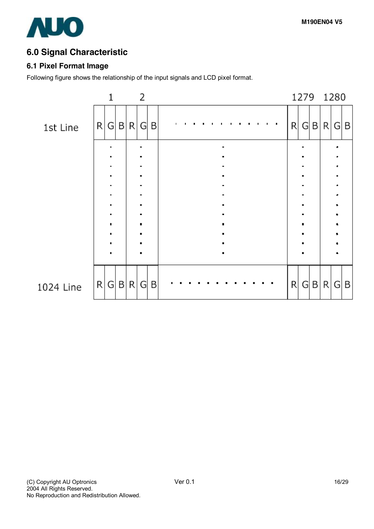# **6.0 Signal Characteristic**

## **6.1 Pixel Format Image**

Following figure shows the relationship of the input signals and LCD pixel format.

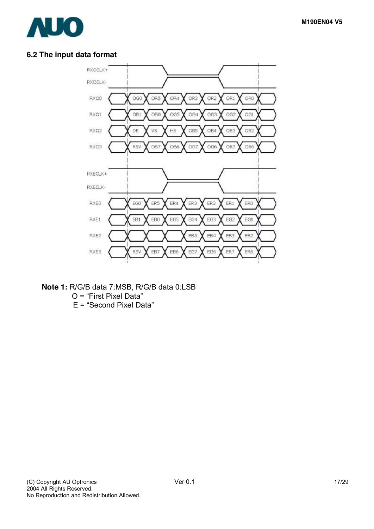

## **6.2 The input data format**



**Note 1:** R/G/B data 7:MSB, R/G/B data 0:LSB

O = "First Pixel Data"

E = "Second Pixel Data"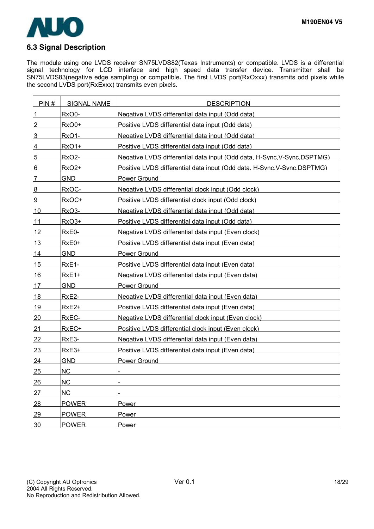

#### The module using one LVDS receiver SN75LVDS82(Texas Instruments) or compatible. LVDS is a differential signal technology for LCD interface and high speed data transfer device. Transmitter shall be SN75LVDS83(negative edge sampling) or compatible**.** The first LVDS port(RxOxxx) transmits odd pixels while the second LVDS port(RxExxx) transmits even pixels.

| PIN#            | <b>SIGNAL NAME</b> | <b>DESCRIPTION</b>                                                       |
|-----------------|--------------------|--------------------------------------------------------------------------|
| $\mathbf{1}$    | RxO0-              | Negative LVDS differential data input (Odd data)                         |
| $\overline{2}$  | <b>RxO0+</b>       | Positive LVDS differential data input (Odd data)                         |
| 3               | RxO1-              | Negative LVDS differential data input (Odd data)                         |
| 4               | <b>RxO1+</b>       | Positive LVDS differential data input (Odd data)                         |
| $5\phantom{.}$  | RxO <sub>2</sub> - | Negative LVDS differential data input (Odd data, H-Sync, V-Sync, DSPTMG) |
| $6 \overline{}$ | RxO <sub>2+</sub>  | Positive LVDS differential data input (Odd data, H-Sync, V-Sync, DSPTMG) |
| $\overline{7}$  | <b>GND</b>         | Power Ground                                                             |
| 8               | RxOC-              | Negative LVDS differential clock input (Odd clock)                       |
| 9               | RxOC+              | Positive LVDS differential clock input (Odd clock)                       |
| 10              | RxO <sub>3</sub> - | Negative LVDS differential data input (Odd data)                         |
| 11              | <b>RxO3+</b>       | Positive LVDS differential data input (Odd data)                         |
| 12              | RxE0-              | Negative LVDS differential data input (Even clock)                       |
| <u>13</u>       | $RxE0+$            | Positive LVDS differential data input (Even data)                        |
| 14              | <b>GND</b>         | Power Ground                                                             |
| 15              | RxE <sub>1</sub> - | Positive LVDS differential data input (Even data)                        |
| 16              | $RxE1+$            | Negative LVDS differential data input (Even data)                        |
| <u>17</u>       | <b>GND</b>         | Power Ground                                                             |
| 18              | RxE <sub>2</sub> - | Negative LVDS differential data input (Even data)                        |
| 19              | RxE2+              | Positive LVDS differential data input (Even data)                        |
| 20              | RxEC-              | Negative LVDS differential clock input (Even clock)                      |
| 21              | RxEC+              | Positive LVDS differential clock input (Even clock)                      |
| <u>22</u>       | RxE3-              | Negative LVDS differential data input (Even data)                        |
| 23              | RxE3+              | Positive LVDS differential data input (Even data)                        |
| 24              | <b>GND</b>         | Power Ground                                                             |
| <u>25</u>       | <b>NC</b>          |                                                                          |
| 26              | <b>NC</b>          |                                                                          |
| 27              | <b>NC</b>          |                                                                          |
| 28              | <b>POWER</b>       | Power                                                                    |
| 29              | <b>POWER</b>       | Power                                                                    |
| 30              | <b>POWER</b>       | Power                                                                    |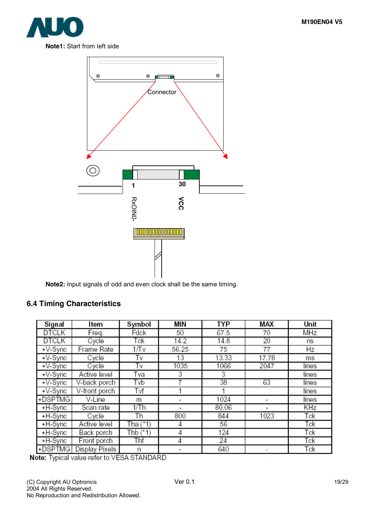



**Note2:** Input signals of odd and even clock shall be the same timing.

## **6.4 Timing Characteristics**

| Signal       | ltem           | Symbol     | МIМ   | <b>TYP</b> | MAX   | Unit  |
|--------------|----------------|------------|-------|------------|-------|-------|
| DTCLK        | Freq.          | Fdck       | 50    | 67.5       | 70    | MHz   |
| <b>DTCLK</b> | Cycle          | Tck        | 14.2  | 14.8       | 20    | ns    |
| $+V-Sync$    | Frame Rate     | 1/Tv       | 56.25 | 75         | 77    | Hz    |
| $+V-Sync$    | Cycle          | T٧         | 13    | 13.33      | 17.78 | ms    |
| +V-Sync      | Cycle          | T٧         | 1035  | 1066       | 2047  | lines |
| $+V-Sync$    | Active level   | Tva        | 3     | 3          |       | lines |
| $+V-Sync$    | V-back porch   | Tvb        | 7     | 38         | 63    | lines |
| $+V-Sync$    | V-front porch  | Tvf        |       |            |       | lines |
| +DSPTMG      | V-Line         | m          | ۰     | 1024       |       | lines |
| +H-Sync      | Scan rate      | 1/Th       |       | 80.06      |       | KHz   |
| +H-Sync      | Cycle          | Th         | 800   | 844        | 1023  | Tck   |
| +H-Sync      | Active level   | Tha $(*1)$ | 4     | 56         |       | Tck   |
| +H-Sync      | Back porch     | Thb $(*1)$ | 4     | 124        |       | Tck   |
| +H-Sync      | Front porch    | Thf        | 4     | 24         |       | Tck   |
| +DSPTMG      | Display Pixels | n          |       | 640        |       | Tck   |

Note: Typical value refer to VESA STANDARD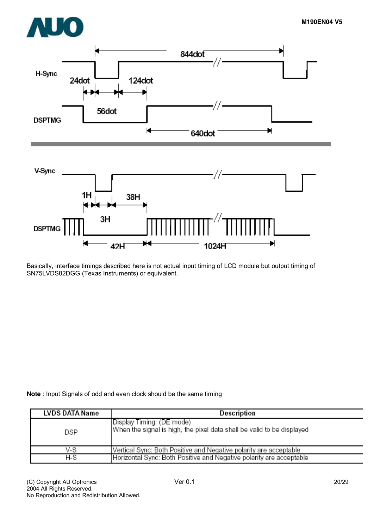



Basically, interface timings described here is not actual input timing of LCD module but output timing of SN75LVDS82DGG (Texas Instruments) or equivalent.

**Note** : Input Signals of odd and even clock should be the same timing

| <b>LVDS DATA Name</b> | Description                                                                                         |
|-----------------------|-----------------------------------------------------------------------------------------------------|
| DSP                   | Display Timing: (DE mode)<br>When the signal is high, the pixel data shall be valid to be displayed |
| V-S                   | Vertical Sync: Both Positive and Negative polarity are acceptable                                   |
| H-S                   | Horizontal Sync: Both Positive and Negative polarity are acceptable                                 |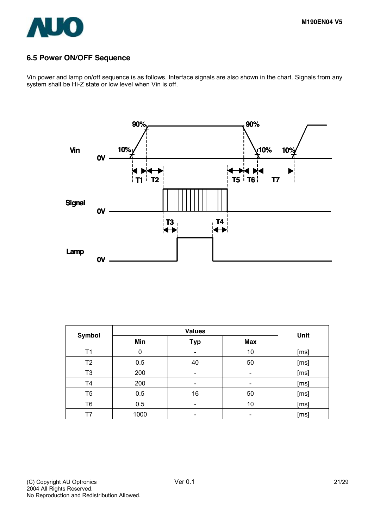

### **6.5 Power ON/OFF Sequence**

Vin power and lamp on/off sequence is as follows. Interface signals are also shown in the chart. Signals from any system shall be Hi-Z state or low level when Vin is off.



| <b>Symbol</b>  |             | Unit       |                          |      |
|----------------|-------------|------------|--------------------------|------|
|                | Min         | <b>Typ</b> | <b>Max</b>               |      |
| Τ1             | $\mathbf 0$ |            | 10                       | [ms] |
| T <sub>2</sub> | 0.5         | 40         | 50                       | [ms] |
| T <sub>3</sub> | 200         |            | -                        | [ms] |
| T <sub>4</sub> | 200         |            | $\overline{\phantom{0}}$ | [ms] |
| T <sub>5</sub> | 0.5         | 16         | 50                       | [ms] |
| T6             | 0.5         |            | 10                       | [ms] |
| T7             | 1000        |            |                          | [ms] |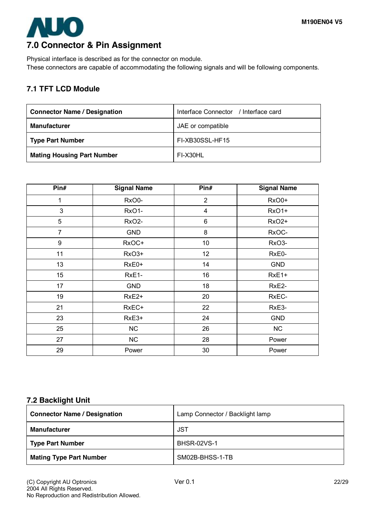# **AUO 7.0 Connector & Pin Assignment**

Physical interface is described as for the connector on module. These connectors are capable of accommodating the following signals and will be following components.

# **7.1 TFT LCD Module**

| <b>Connector Name / Designation</b> | Interface Connector / Interface card |
|-------------------------------------|--------------------------------------|
| <b>Manufacturer</b>                 | JAE or compatible                    |
| <b>Type Part Number</b>             | FI-XB30SSL-HF15                      |
| <b>Mating Housing Part Number</b>   | FI-X30HL                             |

| Pin#           | <b>Signal Name</b> | Pin#           | <b>Signal Name</b> |
|----------------|--------------------|----------------|--------------------|
| 1              | RxO0-              | $\overline{2}$ | RxO0+              |
| 3              | RxO1-              | $\overline{4}$ | RxO1+              |
| 5              | RxO <sub>2</sub> - | 6              | RxO <sub>2+</sub>  |
| $\overline{7}$ | <b>GND</b>         | 8              | RxOC-              |
| 9              | RxOC+              | 10             | RxO <sub>3</sub> - |
| 11             | RxO3+              | 12             | RxE0-              |
| 13             | RxE0+              | 14             | <b>GND</b>         |
| 15             | RxE1-              | 16             | RxE1+              |
| 17             | <b>GND</b>         | 18             | RxE2-              |
| 19             | RxE <sub>2+</sub>  | 20             | RxEC-              |
| 21             | RxEC+              | 22             | RxE3-              |
| 23             | RxE3+              | 24             | <b>GND</b>         |
| 25             | <b>NC</b>          | 26             | NC                 |
| 27             | NC                 | 28             | Power              |
| 29             | Power              | 30             | Power              |

### **7.2 Backlight Unit**

| <b>Connector Name / Designation</b> | Lamp Connector / Backlight lamp |
|-------------------------------------|---------------------------------|
| <b>Manufacturer</b>                 | <b>JST</b>                      |
| <b>Type Part Number</b>             | <b>BHSR-02VS-1</b>              |
| <b>Mating Type Part Number</b>      | SM02B-BHSS-1-TB                 |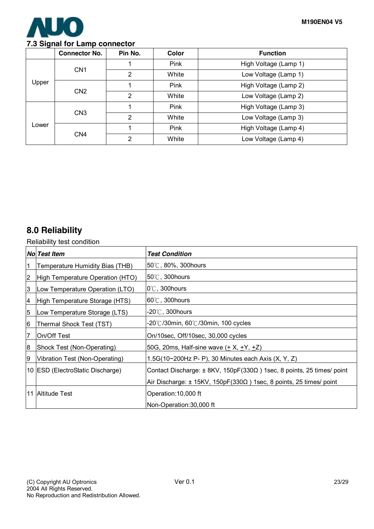

### **7.3 Signal for Lamp connector**

|       | <b>Connector No.</b> | Pin No.        | Color | <b>Function</b>       |
|-------|----------------------|----------------|-------|-----------------------|
|       | CN <sub>1</sub>      |                | Pink  | High Voltage (Lamp 1) |
|       |                      | $\overline{2}$ | White | Low Voltage (Lamp 1)  |
| Upper | CN <sub>2</sub>      |                | Pink  | High Voltage (Lamp 2) |
|       |                      | $\overline{2}$ | White | Low Voltage (Lamp 2)  |
| Lower | CN <sub>3</sub>      |                | Pink  | High Voltage (Lamp 3) |
|       |                      | $\overline{2}$ | White | Low Voltage (Lamp 3)  |
|       |                      |                | Pink  | High Voltage (Lamp 4) |
|       | CN <sub>4</sub>      | $\overline{2}$ | White | Low Voltage (Lamp 4)  |

# **8.0 Reliability**

Reliability test condition

|                         | No Test Item                     | <b>Test Condition</b>                                                              |
|-------------------------|----------------------------------|------------------------------------------------------------------------------------|
| 1                       | Temperature Humidity Bias (THB)  | 50℃, 80%, 300hours                                                                 |
| $\overline{\mathbf{c}}$ | High Temperature Operation (HTO) | $50^{\circ}$ C, 300 hours                                                          |
| 3                       | Low Temperature Operation (LTO)  | $0^{\circ}$ C, 300 hours                                                           |
| 4                       | High Temperature Storage (HTS)   | $60^{\circ}$ C, 300 hours                                                          |
| $\overline{5}$          | Low Temperature Storage (LTS)    | -20 $\degree$ C, 300hours                                                          |
| 6                       | Thermal Shock Test (TST)         | -20°C/30min, 60°C/30min, 100 cycles                                                |
| 7                       | <b>IOn/Off Test</b>              | On/10sec, Off/10sec, 30,000 cycles                                                 |
| 8                       | Shock Test (Non-Operating)       | 50G, 20ms, Half-sine wave $(\pm X, \pm Y, \pm Z)$                                  |
| 19                      | Vibration Test (Non-Operating)   | 1.5G(10~200Hz P- P), 30 Minutes each Axis (X, Y, Z)                                |
|                         | 10 ESD (ElectroStatic Discharge) | Contact Discharge: $\pm$ 8KV, 150pF(330 $\Omega$ ) 1sec, 8 points, 25 times/ point |
|                         |                                  | Air Discharge: $\pm$ 15KV, 150pF(330 $\Omega$ ) 1sec, 8 points, 25 times/ point    |
|                         | 11 Altitude Test                 | Operation: 10,000 ft                                                               |
|                         |                                  | Non-Operation: 30,000 ft                                                           |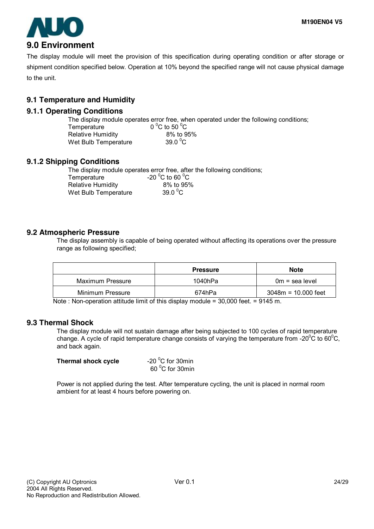

The display module will meet the provision of this specification during operating condition or after storage or shipment condition specified below. Operation at 10% beyond the specified range will not cause physical damage to the unit.

## **9.1 Temperature and Humidity**

### **9.1.1 Operating Conditions**

The display module operates error free, when operated under the following conditions; Temperature C to 50 $\mathrm{^0C}$ Relative Humidity 8% to 95%

| Relative Humidity    | ୪% IO Y             |
|----------------------|---------------------|
| Wet Bulb Temperature | 39.0 $\mathrm{^0C}$ |

### **9.1.2 Shipping Conditions**

The display module operates error free, after the following conditions;

| Temperature              | -20 $^{\circ}$ C to 60 $^{\circ}$ C |
|--------------------------|-------------------------------------|
| <b>Relative Humidity</b> | 8% to 95%                           |
| Wet Bulb Temperature     | 39.0 $\mathrm{^0C}$                 |

C to 60  $^{\circ}$ C  $9.0\,^0$ C

#### **9.2 Atmospheric Pressure**

The display assembly is capable of being operated without affecting its operations over the pressure range as following specified;

|                  | <b>Pressure</b> | <b>Note</b>           |
|------------------|-----------------|-----------------------|
| Maximum Pressure | 1040hPa         | $0m =$ sea level      |
| Minimum Pressure | 674hPa          | $3048m = 10.000$ feet |

Note : Non-operation attitude limit of this display module = 30,000 feet. = 9145 m.

#### **9.3 Thermal Shock**

The display module will not sustain damage after being subjected to 100 cycles of rapid temperature change. A cycle of rapid temperature change consists of varying the temperature from -20 $\mathrm{^0C}$  to 60 $\mathrm{^0C}$ , and back again.

| Thermal shock cycle | -20 $\mathrm{^0C}$ for 30min |
|---------------------|------------------------------|
|                     | 60 °C for 30min              |

Power is not applied during the test. After temperature cycling, the unit is placed in normal room ambient for at least 4 hours before powering on.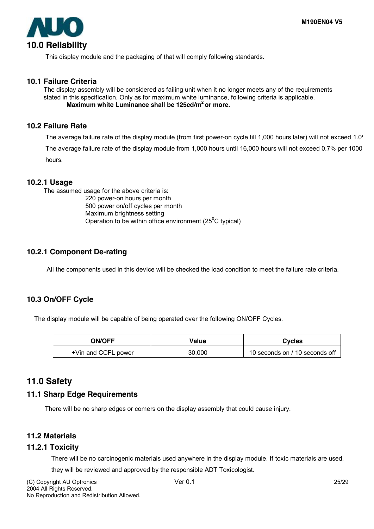

This display module and the packaging of that will comply following standards.

#### **10.1 Failure Criteria**

The display assembly will be considered as failing unit when it no longer meets any of the requirements stated in this specification. Only as for maximum white luminance, following criteria is applicable. **Maximum white Luminance shall be 125cd/m2 or more.** 

#### **10.2 Failure Rate**

The average failure rate of the display module (from first power-on cycle till 1,000 hours later) will not exceed 1.0' The average failure rate of the display module from 1,000 hours until 16,000 hours will not exceed 0.7% per 1000 hours.

#### **10.2.1 Usage**

The assumed usage for the above criteria is:

 220 power-on hours per month 500 power on/off cycles per month Maximum brightness setting Operation to be within office environment ( $25^{\circ}$ C typical)

### **10.2.1 Component De-rating**

All the components used in this device will be checked the load condition to meet the failure rate criteria.

#### **10.3 On/OFF Cycle**

The display module will be capable of being operated over the following ON/OFF Cycles.

| <b>ON/OFF</b>       | Value  | <b>Cycles</b>                  |
|---------------------|--------|--------------------------------|
| +Vin and CCFL power | 30,000 | 10 seconds on / 10 seconds off |

# **11.0 Safety**

#### **11.1 Sharp Edge Requirements**

There will be no sharp edges or comers on the display assembly that could cause injury.

#### **11.2 Materials**

#### **11.2.1 Toxicity**

There will be no carcinogenic materials used anywhere in the display module. If toxic materials are used,

they will be reviewed and approved by the responsible ADT Toxicologist.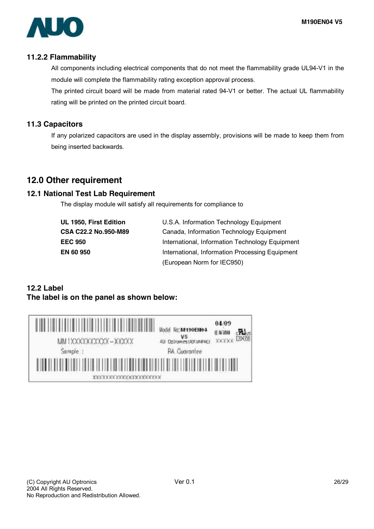

#### **11.2.2 Flammability**

All components including electrical components that do not meet the flammability grade UL94-V1 in the module will complete the flammability rating exception approval process.

The printed circuit board will be made from material rated 94-V1 or better. The actual UL flammability rating will be printed on the printed circuit board.

### **11.3 Capacitors**

If any polarized capacitors are used in the display assembly, provisions will be made to keep them from being inserted backwards.

# **12.0 Other requirement**

### **12.1 National Test Lab Requirement**

The display module will satisfy all requirements for compliance to

| UL 1950, First Edition |
|------------------------|
| CSA C22.2 No.950-M89   |
| <b>EEC 950</b>         |
| <b>EN 60 950</b>       |

**U.S.A. Information Technology Equipment Canada, Information Technology Equipment International, Information Technology Equipment International, Information Processing Equipment** (European Norm for IEC950)

# **12.2 Label The label is on the panel as shown below:**

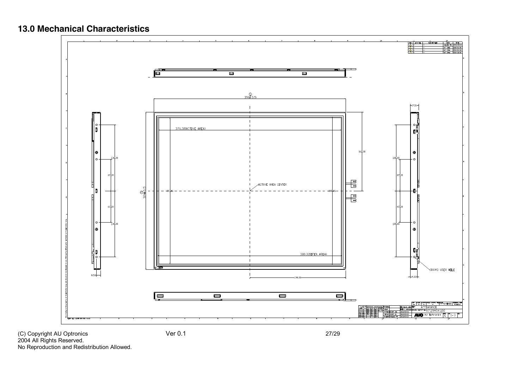# **13.0 Mechanical Characteristics**



(C) Copyright AU Optronics Ver 0.1 27/29 2004 All Rights Reserved. No Reproduction and Redistribution Allowed.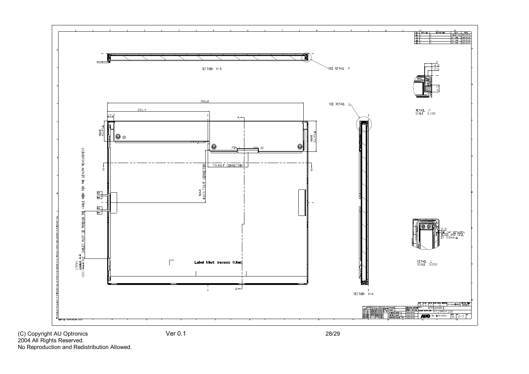

No Reproduction and Redistribution Allowed.